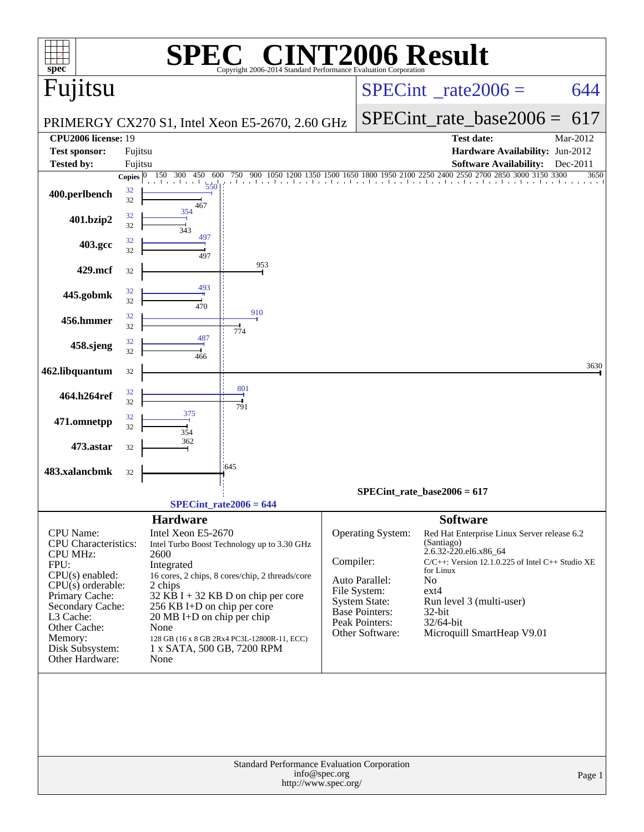| $spec^*$                                                                                                                                                                                                                            |                          |                                                                                                                                                                                   | $\bigcap$<br>Copyright 2006-2014 Standard Performance Evaluation Corporation                                                                                                          |               |                                                                                                                                    | <b>CINT2006 Result</b>                                                                                                                                                                                                                                                                     |          |
|-------------------------------------------------------------------------------------------------------------------------------------------------------------------------------------------------------------------------------------|--------------------------|-----------------------------------------------------------------------------------------------------------------------------------------------------------------------------------|---------------------------------------------------------------------------------------------------------------------------------------------------------------------------------------|---------------|------------------------------------------------------------------------------------------------------------------------------------|--------------------------------------------------------------------------------------------------------------------------------------------------------------------------------------------------------------------------------------------------------------------------------------------|----------|
| Fujitsu                                                                                                                                                                                                                             |                          |                                                                                                                                                                                   |                                                                                                                                                                                       |               |                                                                                                                                    | $SPECint^{\circ}$ rate 2006 =                                                                                                                                                                                                                                                              | 644      |
|                                                                                                                                                                                                                                     |                          |                                                                                                                                                                                   | PRIMERGY CX270 S1, Intel Xeon E5-2670, 2.60 GHz                                                                                                                                       |               |                                                                                                                                    | $SPECint_rate\_base2006 =$                                                                                                                                                                                                                                                                 | 617      |
| <b>CPU2006 license: 19</b>                                                                                                                                                                                                          |                          |                                                                                                                                                                                   |                                                                                                                                                                                       |               |                                                                                                                                    | <b>Test date:</b>                                                                                                                                                                                                                                                                          | Mar-2012 |
| <b>Test sponsor:</b>                                                                                                                                                                                                                | Fujitsu                  |                                                                                                                                                                                   |                                                                                                                                                                                       |               |                                                                                                                                    | Hardware Availability: Jun-2012                                                                                                                                                                                                                                                            |          |
| <b>Tested by:</b>                                                                                                                                                                                                                   | Fujitsu                  |                                                                                                                                                                                   |                                                                                                                                                                                       |               |                                                                                                                                    | <b>Software Availability:</b>                                                                                                                                                                                                                                                              | Dec-2011 |
| 400.perlbench                                                                                                                                                                                                                       | Copies $ 0 $<br>32<br>32 | 150<br>300<br>450<br>600<br>550<br>467                                                                                                                                            | 750<br>900 1050                                                                                                                                                                       | 1500          |                                                                                                                                    | 1650 1800 1950 2100 2250 2400 2550 2700<br>2850 3000 3150 3300<br>The closed and and and an                                                                                                                                                                                                | 3650     |
| 401.bzip2                                                                                                                                                                                                                           | 32<br>32                 | 354<br>343                                                                                                                                                                        |                                                                                                                                                                                       |               |                                                                                                                                    |                                                                                                                                                                                                                                                                                            |          |
| 403.gcc                                                                                                                                                                                                                             | 32<br>32                 | 497<br>497                                                                                                                                                                        |                                                                                                                                                                                       |               |                                                                                                                                    |                                                                                                                                                                                                                                                                                            |          |
| 429.mcf                                                                                                                                                                                                                             | 32                       |                                                                                                                                                                                   | 953                                                                                                                                                                                   |               |                                                                                                                                    |                                                                                                                                                                                                                                                                                            |          |
| 445.gobmk                                                                                                                                                                                                                           | 32<br>32                 | 493<br>470                                                                                                                                                                        |                                                                                                                                                                                       |               |                                                                                                                                    |                                                                                                                                                                                                                                                                                            |          |
| 456.hmmer                                                                                                                                                                                                                           | 32<br>32                 |                                                                                                                                                                                   | 910<br>774                                                                                                                                                                            |               |                                                                                                                                    |                                                                                                                                                                                                                                                                                            |          |
| 458.sjeng                                                                                                                                                                                                                           | 32<br>32                 | 487                                                                                                                                                                               |                                                                                                                                                                                       |               |                                                                                                                                    |                                                                                                                                                                                                                                                                                            |          |
| 462.libquantum                                                                                                                                                                                                                      | 32                       | 466                                                                                                                                                                               |                                                                                                                                                                                       |               |                                                                                                                                    |                                                                                                                                                                                                                                                                                            | 3630     |
| 464.h264ref                                                                                                                                                                                                                         | 32<br>32                 |                                                                                                                                                                                   | 801                                                                                                                                                                                   |               |                                                                                                                                    |                                                                                                                                                                                                                                                                                            |          |
| 471.omnetpp                                                                                                                                                                                                                         | 32<br>32                 | 375                                                                                                                                                                               | 791                                                                                                                                                                                   |               |                                                                                                                                    |                                                                                                                                                                                                                                                                                            |          |
| 473.astar                                                                                                                                                                                                                           | 32                       | 354<br>362                                                                                                                                                                        |                                                                                                                                                                                       |               |                                                                                                                                    |                                                                                                                                                                                                                                                                                            |          |
| 483.xalancbmk                                                                                                                                                                                                                       | 32                       |                                                                                                                                                                                   | $-645$                                                                                                                                                                                |               |                                                                                                                                    |                                                                                                                                                                                                                                                                                            |          |
|                                                                                                                                                                                                                                     |                          |                                                                                                                                                                                   |                                                                                                                                                                                       |               |                                                                                                                                    | $SPECint_rate_base2006 = 617$                                                                                                                                                                                                                                                              |          |
|                                                                                                                                                                                                                                     |                          |                                                                                                                                                                                   | $SPECint_rate2006 = 644$                                                                                                                                                              |               |                                                                                                                                    |                                                                                                                                                                                                                                                                                            |          |
| <b>CPU</b> Name:<br>CPU Characteristics:<br><b>CPU MHz:</b><br>FPU:<br>$CPU(s)$ enabled:<br>$CPU(s)$ orderable:<br>Primary Cache:<br>Secondary Cache:<br>L3 Cache:<br>Other Cache:<br>Memory:<br>Disk Subsystem:<br>Other Hardware: |                          | <b>Hardware</b><br>Intel Xeon E5-2670<br>2600<br>Integrated<br>2 chips<br>256 KB I+D on chip per core<br>20 MB I+D on chip per chip<br>None<br>1 x SATA, 500 GB, 7200 RPM<br>None | Intel Turbo Boost Technology up to 3.30 GHz<br>16 cores, 2 chips, 8 cores/chip, 2 threads/core<br>$32$ KB I + 32 KB D on chip per core<br>128 GB (16 x 8 GB 2Rx4 PC3L-12800R-11, ECC) | Compiler:     | <b>Operating System:</b><br>Auto Parallel:<br>File System:<br>System State:<br>Base Pointers:<br>Peak Pointers:<br>Other Software: | <b>Software</b><br>Red Hat Enterprise Linux Server release 6.2<br>(Santiago)<br>2.6.32-220.el6.x86_64<br>$C/C++$ : Version 12.1.0.225 of Intel $C++$ Studio XE<br>for Linux<br>N <sub>o</sub><br>$ext{4}$<br>Run level 3 (multi-user)<br>32-bit<br>32/64-bit<br>Microquill SmartHeap V9.01 |          |
|                                                                                                                                                                                                                                     |                          |                                                                                                                                                                                   | Standard Performance Evaluation Corporation<br>http://www.spec.org/                                                                                                                   | info@spec.org |                                                                                                                                    |                                                                                                                                                                                                                                                                                            | Page 1   |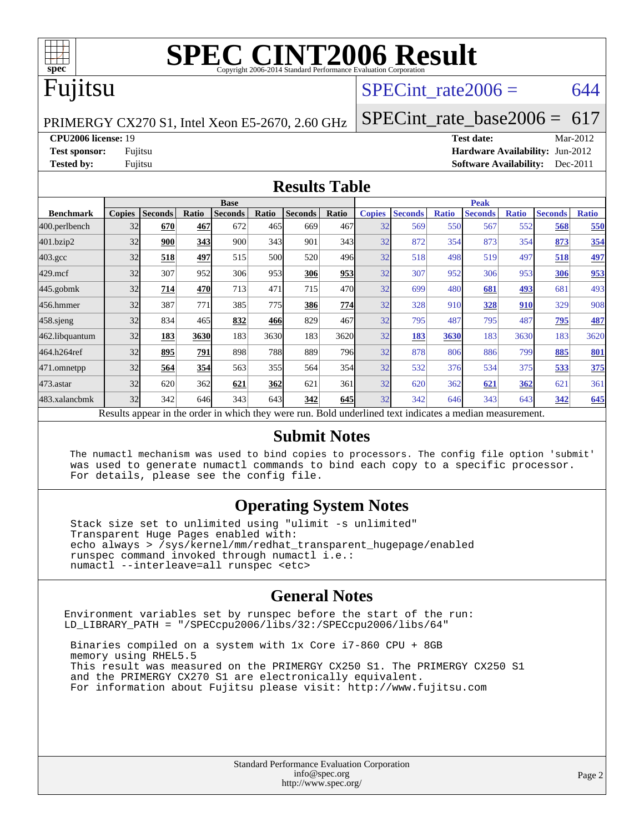

## Fujitsu

#### SPECint rate $2006 = 644$

PRIMERGY CX270 S1, Intel Xeon E5-2670, 2.60 GHz

**[Tested by:](http://www.spec.org/auto/cpu2006/Docs/result-fields.html#Testedby)** Fujitsu **[Software Availability:](http://www.spec.org/auto/cpu2006/Docs/result-fields.html#SoftwareAvailability)** Dec-2011

**[CPU2006 license:](http://www.spec.org/auto/cpu2006/Docs/result-fields.html#CPU2006license)** 19 **[Test date:](http://www.spec.org/auto/cpu2006/Docs/result-fields.html#Testdate)** Mar-2012 **[Test sponsor:](http://www.spec.org/auto/cpu2006/Docs/result-fields.html#Testsponsor)** Fujitsu **[Hardware Availability:](http://www.spec.org/auto/cpu2006/Docs/result-fields.html#HardwareAvailability)** Jun-2012

[SPECint\\_rate\\_base2006 =](http://www.spec.org/auto/cpu2006/Docs/result-fields.html#SPECintratebase2006) 617

#### **[Results Table](http://www.spec.org/auto/cpu2006/Docs/result-fields.html#ResultsTable)**

|                                                                                                          |               |                | <b>Base</b> |                |       |                |       | <b>Peak</b>   |                |              |                |              |                |              |
|----------------------------------------------------------------------------------------------------------|---------------|----------------|-------------|----------------|-------|----------------|-------|---------------|----------------|--------------|----------------|--------------|----------------|--------------|
| <b>Benchmark</b>                                                                                         | <b>Copies</b> | <b>Seconds</b> | Ratio       | <b>Seconds</b> | Ratio | <b>Seconds</b> | Ratio | <b>Copies</b> | <b>Seconds</b> | <b>Ratio</b> | <b>Seconds</b> | <b>Ratio</b> | <b>Seconds</b> | <b>Ratio</b> |
| 400.perlbench                                                                                            | 32            | 670            | 467         | 672            | 465   | 669            | 467   | 32            | 569            | 550          | 567            | 552          | 568            | 550          |
| 401.bzip2                                                                                                | 32            | 900            | 343         | 900            | 343   | 901            | 343   | 32            | 872            | 354          | 873            | 354          | 873            | 354          |
| $403.\mathrm{gcc}$                                                                                       | 32            | 518            | 497         | 515            | 500   | 520            | 496   | 32            | 518            | 498          | 519            | 497          | 518            | 497          |
| $429$ .mcf                                                                                               | 32            | 307            | 952         | 306            | 953   | 306            | 953   | 32            | 307            | 952          | 306            | 953          | 306            | 953          |
| $445$ .gobmk                                                                                             | 32            | 714            | 470         | 713            | 471   | 715            | 470   | 32            | 699            | 480          | 681            | <u>493</u>   | 681            | 493          |
| 456.hmmer                                                                                                | 32            | 387            | 771         | 385            | 775   | 386            | 774   | 32            | 328            | 910          | 328            | 910          | 329            | 908          |
| 458 sjeng                                                                                                | 32            | 834            | 465         | 832            | 466   | 829            | 467   | 32            | 795            | 487          | 795            | 487          | 795            | 487          |
| 462.libquantum                                                                                           | 32            | 183            | 3630        | 183            | 3630  | 183            | 3620  | 32            | 183            | 3630         | 183            | 3630         | 183            | 3620         |
| 464.h264ref                                                                                              | 32            | 895            | 791         | 898            | 788   | 889            | 796   | 32            | 878            | 806          | 886            | 799          | 885            | 801          |
| 471.omnetpp                                                                                              | 32            | 564            | 354         | 563            | 355   | 564            | 354   | 32            | 532            | 376          | 534            | 375          | 533            | 375          |
| $473.$ astar                                                                                             | 32            | 620            | 362         | 621            | 362   | 621            | 361   | 32            | 620            | 362          | 621            | 362          | 621            | 361          |
| 483.xalancbmk                                                                                            | 32            | 342            | 646         | 343            | 643   | 342            | 645   | 32            | 342            | 646          | 343            | 643          | 342            | 645          |
| Results appear in the order in which they were run. Bold underlined text indicates a median measurement. |               |                |             |                |       |                |       |               |                |              |                |              |                |              |

#### **[Submit Notes](http://www.spec.org/auto/cpu2006/Docs/result-fields.html#SubmitNotes)**

 The numactl mechanism was used to bind copies to processors. The config file option 'submit' was used to generate numactl commands to bind each copy to a specific processor. For details, please see the config file.

#### **[Operating System Notes](http://www.spec.org/auto/cpu2006/Docs/result-fields.html#OperatingSystemNotes)**

 Stack size set to unlimited using "ulimit -s unlimited" Transparent Huge Pages enabled with: echo always > /sys/kernel/mm/redhat\_transparent\_hugepage/enabled runspec command invoked through numactl i.e.: numactl --interleave=all runspec <etc>

#### **[General Notes](http://www.spec.org/auto/cpu2006/Docs/result-fields.html#GeneralNotes)**

Environment variables set by runspec before the start of the run: LD\_LIBRARY\_PATH = "/SPECcpu2006/libs/32:/SPECcpu2006/libs/64"

 Binaries compiled on a system with 1x Core i7-860 CPU + 8GB memory using RHEL5.5 This result was measured on the PRIMERGY CX250 S1. The PRIMERGY CX250 S1 and the PRIMERGY CX270 S1 are electronically equivalent. For information about Fujitsu please visit: <http://www.fujitsu.com>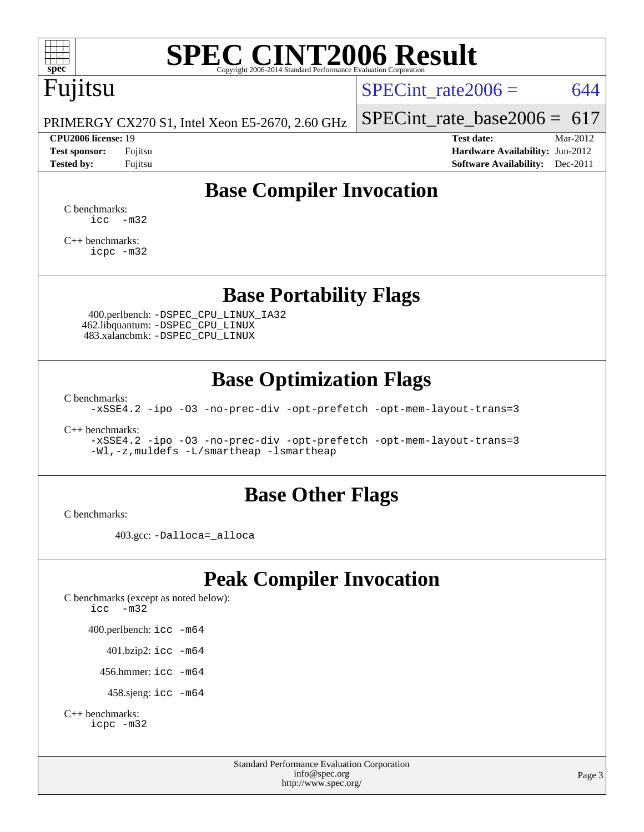

# Fujitsu

SPECint rate $2006 = 644$ 

PRIMERGY CX270 S1, Intel Xeon E5-2670, 2.60 GHz

#### **[CPU2006 license:](http://www.spec.org/auto/cpu2006/Docs/result-fields.html#CPU2006license)** 19 **[Test date:](http://www.spec.org/auto/cpu2006/Docs/result-fields.html#Testdate)** Mar-2012

[SPECint\\_rate\\_base2006 =](http://www.spec.org/auto/cpu2006/Docs/result-fields.html#SPECintratebase2006)  $617$ 

**[Test sponsor:](http://www.spec.org/auto/cpu2006/Docs/result-fields.html#Testsponsor)** Fujitsu **[Hardware Availability:](http://www.spec.org/auto/cpu2006/Docs/result-fields.html#HardwareAvailability)** Jun-2012 **[Tested by:](http://www.spec.org/auto/cpu2006/Docs/result-fields.html#Testedby)** Fujitsu **Fugital Example 2011 [Software Availability:](http://www.spec.org/auto/cpu2006/Docs/result-fields.html#SoftwareAvailability)** Dec-2011

## **[Base Compiler Invocation](http://www.spec.org/auto/cpu2006/Docs/result-fields.html#BaseCompilerInvocation)**

[C benchmarks](http://www.spec.org/auto/cpu2006/Docs/result-fields.html#Cbenchmarks):  $\text{icc}$   $-\text{m32}$ 

[C++ benchmarks:](http://www.spec.org/auto/cpu2006/Docs/result-fields.html#CXXbenchmarks) [icpc -m32](http://www.spec.org/cpu2006/results/res2012q3/cpu2006-20120620-23104.flags.html#user_CXXbase_intel_icpc_4e5a5ef1a53fd332b3c49e69c3330699)

### **[Base Portability Flags](http://www.spec.org/auto/cpu2006/Docs/result-fields.html#BasePortabilityFlags)**

 400.perlbench: [-DSPEC\\_CPU\\_LINUX\\_IA32](http://www.spec.org/cpu2006/results/res2012q3/cpu2006-20120620-23104.flags.html#b400.perlbench_baseCPORTABILITY_DSPEC_CPU_LINUX_IA32) 462.libquantum: [-DSPEC\\_CPU\\_LINUX](http://www.spec.org/cpu2006/results/res2012q3/cpu2006-20120620-23104.flags.html#b462.libquantum_baseCPORTABILITY_DSPEC_CPU_LINUX) 483.xalancbmk: [-DSPEC\\_CPU\\_LINUX](http://www.spec.org/cpu2006/results/res2012q3/cpu2006-20120620-23104.flags.html#b483.xalancbmk_baseCXXPORTABILITY_DSPEC_CPU_LINUX)

### **[Base Optimization Flags](http://www.spec.org/auto/cpu2006/Docs/result-fields.html#BaseOptimizationFlags)**

[C benchmarks](http://www.spec.org/auto/cpu2006/Docs/result-fields.html#Cbenchmarks):

[-xSSE4.2](http://www.spec.org/cpu2006/results/res2012q3/cpu2006-20120620-23104.flags.html#user_CCbase_f-xSSE42_f91528193cf0b216347adb8b939d4107) [-ipo](http://www.spec.org/cpu2006/results/res2012q3/cpu2006-20120620-23104.flags.html#user_CCbase_f-ipo) [-O3](http://www.spec.org/cpu2006/results/res2012q3/cpu2006-20120620-23104.flags.html#user_CCbase_f-O3) [-no-prec-div](http://www.spec.org/cpu2006/results/res2012q3/cpu2006-20120620-23104.flags.html#user_CCbase_f-no-prec-div) [-opt-prefetch](http://www.spec.org/cpu2006/results/res2012q3/cpu2006-20120620-23104.flags.html#user_CCbase_f-opt-prefetch) [-opt-mem-layout-trans=3](http://www.spec.org/cpu2006/results/res2012q3/cpu2006-20120620-23104.flags.html#user_CCbase_f-opt-mem-layout-trans_a7b82ad4bd7abf52556d4961a2ae94d5)

[C++ benchmarks:](http://www.spec.org/auto/cpu2006/Docs/result-fields.html#CXXbenchmarks)

[-xSSE4.2](http://www.spec.org/cpu2006/results/res2012q3/cpu2006-20120620-23104.flags.html#user_CXXbase_f-xSSE42_f91528193cf0b216347adb8b939d4107) [-ipo](http://www.spec.org/cpu2006/results/res2012q3/cpu2006-20120620-23104.flags.html#user_CXXbase_f-ipo) [-O3](http://www.spec.org/cpu2006/results/res2012q3/cpu2006-20120620-23104.flags.html#user_CXXbase_f-O3) [-no-prec-div](http://www.spec.org/cpu2006/results/res2012q3/cpu2006-20120620-23104.flags.html#user_CXXbase_f-no-prec-div) [-opt-prefetch](http://www.spec.org/cpu2006/results/res2012q3/cpu2006-20120620-23104.flags.html#user_CXXbase_f-opt-prefetch) [-opt-mem-layout-trans=3](http://www.spec.org/cpu2006/results/res2012q3/cpu2006-20120620-23104.flags.html#user_CXXbase_f-opt-mem-layout-trans_a7b82ad4bd7abf52556d4961a2ae94d5) [-Wl,-z,muldefs](http://www.spec.org/cpu2006/results/res2012q3/cpu2006-20120620-23104.flags.html#user_CXXbase_link_force_multiple1_74079c344b956b9658436fd1b6dd3a8a) [-L/smartheap -lsmartheap](http://www.spec.org/cpu2006/results/res2012q3/cpu2006-20120620-23104.flags.html#user_CXXbase_SmartHeap_7c9e394a5779e1a7fec7c221e123830c)

#### **[Base Other Flags](http://www.spec.org/auto/cpu2006/Docs/result-fields.html#BaseOtherFlags)**

[C benchmarks](http://www.spec.org/auto/cpu2006/Docs/result-fields.html#Cbenchmarks):

403.gcc: [-Dalloca=\\_alloca](http://www.spec.org/cpu2006/results/res2012q3/cpu2006-20120620-23104.flags.html#b403.gcc_baseEXTRA_CFLAGS_Dalloca_be3056838c12de2578596ca5467af7f3)

## **[Peak Compiler Invocation](http://www.spec.org/auto/cpu2006/Docs/result-fields.html#PeakCompilerInvocation)**

[C benchmarks \(except as noted below\)](http://www.spec.org/auto/cpu2006/Docs/result-fields.html#Cbenchmarksexceptasnotedbelow): [icc -m32](http://www.spec.org/cpu2006/results/res2012q3/cpu2006-20120620-23104.flags.html#user_CCpeak_intel_icc_5ff4a39e364c98233615fdd38438c6f2) 400.perlbench: [icc -m64](http://www.spec.org/cpu2006/results/res2012q3/cpu2006-20120620-23104.flags.html#user_peakCCLD400_perlbench_intel_icc_64bit_bda6cc9af1fdbb0edc3795bac97ada53) 401.bzip2: [icc -m64](http://www.spec.org/cpu2006/results/res2012q3/cpu2006-20120620-23104.flags.html#user_peakCCLD401_bzip2_intel_icc_64bit_bda6cc9af1fdbb0edc3795bac97ada53)

456.hmmer: [icc -m64](http://www.spec.org/cpu2006/results/res2012q3/cpu2006-20120620-23104.flags.html#user_peakCCLD456_hmmer_intel_icc_64bit_bda6cc9af1fdbb0edc3795bac97ada53)

458.sjeng: [icc -m64](http://www.spec.org/cpu2006/results/res2012q3/cpu2006-20120620-23104.flags.html#user_peakCCLD458_sjeng_intel_icc_64bit_bda6cc9af1fdbb0edc3795bac97ada53)

```
C++ benchmarks: 
icpc -m32
```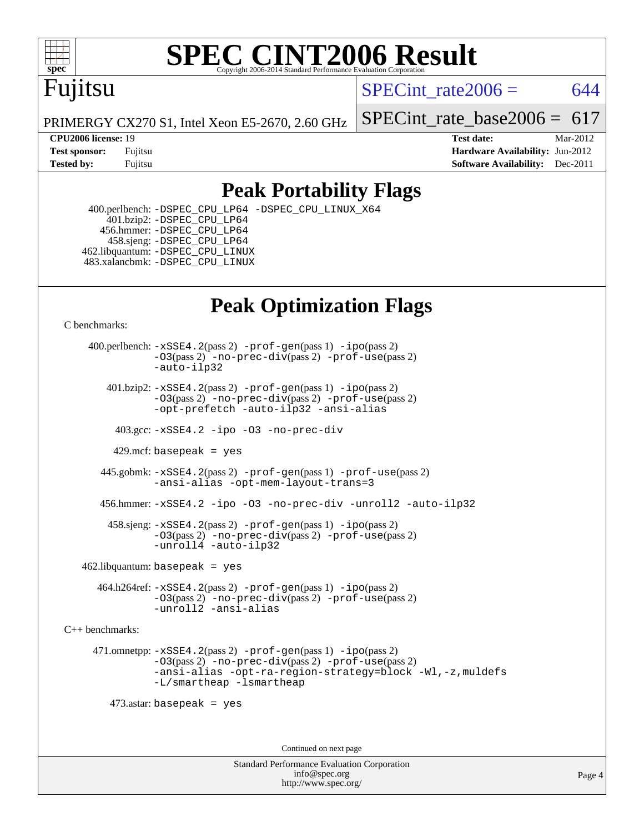

## Fujitsu

SPECint rate $2006 = 644$ 

PRIMERGY CX270 S1, Intel Xeon E5-2670, 2.60 GHz

SPECint rate base2006 =  $617$ **[CPU2006 license:](http://www.spec.org/auto/cpu2006/Docs/result-fields.html#CPU2006license)** 19 **[Test date:](http://www.spec.org/auto/cpu2006/Docs/result-fields.html#Testdate)** Mar-2012

**[Test sponsor:](http://www.spec.org/auto/cpu2006/Docs/result-fields.html#Testsponsor)** Fujitsu **[Hardware Availability:](http://www.spec.org/auto/cpu2006/Docs/result-fields.html#HardwareAvailability)** Jun-2012 **[Tested by:](http://www.spec.org/auto/cpu2006/Docs/result-fields.html#Testedby)** Fujitsu **Fugital Example 2011 [Software Availability:](http://www.spec.org/auto/cpu2006/Docs/result-fields.html#SoftwareAvailability)** Dec-2011

### **[Peak Portability Flags](http://www.spec.org/auto/cpu2006/Docs/result-fields.html#PeakPortabilityFlags)**

 400.perlbench: [-DSPEC\\_CPU\\_LP64](http://www.spec.org/cpu2006/results/res2012q3/cpu2006-20120620-23104.flags.html#b400.perlbench_peakCPORTABILITY_DSPEC_CPU_LP64) [-DSPEC\\_CPU\\_LINUX\\_X64](http://www.spec.org/cpu2006/results/res2012q3/cpu2006-20120620-23104.flags.html#b400.perlbench_peakCPORTABILITY_DSPEC_CPU_LINUX_X64) 401.bzip2: [-DSPEC\\_CPU\\_LP64](http://www.spec.org/cpu2006/results/res2012q3/cpu2006-20120620-23104.flags.html#suite_peakCPORTABILITY401_bzip2_DSPEC_CPU_LP64) 456.hmmer: [-DSPEC\\_CPU\\_LP64](http://www.spec.org/cpu2006/results/res2012q3/cpu2006-20120620-23104.flags.html#suite_peakCPORTABILITY456_hmmer_DSPEC_CPU_LP64) 458.sjeng: [-DSPEC\\_CPU\\_LP64](http://www.spec.org/cpu2006/results/res2012q3/cpu2006-20120620-23104.flags.html#suite_peakCPORTABILITY458_sjeng_DSPEC_CPU_LP64) 462.libquantum: [-DSPEC\\_CPU\\_LINUX](http://www.spec.org/cpu2006/results/res2012q3/cpu2006-20120620-23104.flags.html#b462.libquantum_peakCPORTABILITY_DSPEC_CPU_LINUX) 483.xalancbmk: [-DSPEC\\_CPU\\_LINUX](http://www.spec.org/cpu2006/results/res2012q3/cpu2006-20120620-23104.flags.html#b483.xalancbmk_peakCXXPORTABILITY_DSPEC_CPU_LINUX)

## **[Peak Optimization Flags](http://www.spec.org/auto/cpu2006/Docs/result-fields.html#PeakOptimizationFlags)**

[C benchmarks](http://www.spec.org/auto/cpu2006/Docs/result-fields.html#Cbenchmarks):

 400.perlbench: [-xSSE4.2](http://www.spec.org/cpu2006/results/res2012q3/cpu2006-20120620-23104.flags.html#user_peakPASS2_CFLAGSPASS2_LDCFLAGS400_perlbench_f-xSSE42_f91528193cf0b216347adb8b939d4107)(pass 2) [-prof-gen](http://www.spec.org/cpu2006/results/res2012q3/cpu2006-20120620-23104.flags.html#user_peakPASS1_CFLAGSPASS1_LDCFLAGS400_perlbench_prof_gen_e43856698f6ca7b7e442dfd80e94a8fc)(pass 1) [-ipo](http://www.spec.org/cpu2006/results/res2012q3/cpu2006-20120620-23104.flags.html#user_peakPASS2_CFLAGSPASS2_LDCFLAGS400_perlbench_f-ipo)(pass 2) [-O3](http://www.spec.org/cpu2006/results/res2012q3/cpu2006-20120620-23104.flags.html#user_peakPASS2_CFLAGSPASS2_LDCFLAGS400_perlbench_f-O3)(pass 2) [-no-prec-div](http://www.spec.org/cpu2006/results/res2012q3/cpu2006-20120620-23104.flags.html#user_peakPASS2_CFLAGSPASS2_LDCFLAGS400_perlbench_f-no-prec-div)(pass 2) [-prof-use](http://www.spec.org/cpu2006/results/res2012q3/cpu2006-20120620-23104.flags.html#user_peakPASS2_CFLAGSPASS2_LDCFLAGS400_perlbench_prof_use_bccf7792157ff70d64e32fe3e1250b55)(pass 2) [-auto-ilp32](http://www.spec.org/cpu2006/results/res2012q3/cpu2006-20120620-23104.flags.html#user_peakCOPTIMIZE400_perlbench_f-auto-ilp32)  $401.bzip2: -xSSE4.2(pass 2) -prof-qen(pass 1) -ipo(pass 2)$  $401.bzip2: -xSSE4.2(pass 2) -prof-qen(pass 1) -ipo(pass 2)$  $401.bzip2: -xSSE4.2(pass 2) -prof-qen(pass 1) -ipo(pass 2)$  $401.bzip2: -xSSE4.2(pass 2) -prof-qen(pass 1) -ipo(pass 2)$  $401.bzip2: -xSSE4.2(pass 2) -prof-qen(pass 1) -ipo(pass 2)$ [-O3](http://www.spec.org/cpu2006/results/res2012q3/cpu2006-20120620-23104.flags.html#user_peakPASS2_CFLAGSPASS2_LDCFLAGS401_bzip2_f-O3)(pass 2) [-no-prec-div](http://www.spec.org/cpu2006/results/res2012q3/cpu2006-20120620-23104.flags.html#user_peakPASS2_CFLAGSPASS2_LDCFLAGS401_bzip2_f-no-prec-div)(pass 2) [-prof-use](http://www.spec.org/cpu2006/results/res2012q3/cpu2006-20120620-23104.flags.html#user_peakPASS2_CFLAGSPASS2_LDCFLAGS401_bzip2_prof_use_bccf7792157ff70d64e32fe3e1250b55)(pass 2) [-opt-prefetch](http://www.spec.org/cpu2006/results/res2012q3/cpu2006-20120620-23104.flags.html#user_peakCOPTIMIZE401_bzip2_f-opt-prefetch) [-auto-ilp32](http://www.spec.org/cpu2006/results/res2012q3/cpu2006-20120620-23104.flags.html#user_peakCOPTIMIZE401_bzip2_f-auto-ilp32) [-ansi-alias](http://www.spec.org/cpu2006/results/res2012q3/cpu2006-20120620-23104.flags.html#user_peakCOPTIMIZE401_bzip2_f-ansi-alias) 403.gcc: [-xSSE4.2](http://www.spec.org/cpu2006/results/res2012q3/cpu2006-20120620-23104.flags.html#user_peakCOPTIMIZE403_gcc_f-xSSE42_f91528193cf0b216347adb8b939d4107) [-ipo](http://www.spec.org/cpu2006/results/res2012q3/cpu2006-20120620-23104.flags.html#user_peakCOPTIMIZE403_gcc_f-ipo) [-O3](http://www.spec.org/cpu2006/results/res2012q3/cpu2006-20120620-23104.flags.html#user_peakCOPTIMIZE403_gcc_f-O3) [-no-prec-div](http://www.spec.org/cpu2006/results/res2012q3/cpu2006-20120620-23104.flags.html#user_peakCOPTIMIZE403_gcc_f-no-prec-div) 429.mcf: basepeak = yes 445.gobmk: [-xSSE4.2](http://www.spec.org/cpu2006/results/res2012q3/cpu2006-20120620-23104.flags.html#user_peakPASS2_CFLAGSPASS2_LDCFLAGS445_gobmk_f-xSSE42_f91528193cf0b216347adb8b939d4107)(pass 2) [-prof-gen](http://www.spec.org/cpu2006/results/res2012q3/cpu2006-20120620-23104.flags.html#user_peakPASS1_CFLAGSPASS1_LDCFLAGS445_gobmk_prof_gen_e43856698f6ca7b7e442dfd80e94a8fc)(pass 1) [-prof-use](http://www.spec.org/cpu2006/results/res2012q3/cpu2006-20120620-23104.flags.html#user_peakPASS2_CFLAGSPASS2_LDCFLAGS445_gobmk_prof_use_bccf7792157ff70d64e32fe3e1250b55)(pass 2) [-ansi-alias](http://www.spec.org/cpu2006/results/res2012q3/cpu2006-20120620-23104.flags.html#user_peakCOPTIMIZE445_gobmk_f-ansi-alias) [-opt-mem-layout-trans=3](http://www.spec.org/cpu2006/results/res2012q3/cpu2006-20120620-23104.flags.html#user_peakCOPTIMIZE445_gobmk_f-opt-mem-layout-trans_a7b82ad4bd7abf52556d4961a2ae94d5) 456.hmmer: [-xSSE4.2](http://www.spec.org/cpu2006/results/res2012q3/cpu2006-20120620-23104.flags.html#user_peakCOPTIMIZE456_hmmer_f-xSSE42_f91528193cf0b216347adb8b939d4107) [-ipo](http://www.spec.org/cpu2006/results/res2012q3/cpu2006-20120620-23104.flags.html#user_peakCOPTIMIZE456_hmmer_f-ipo) [-O3](http://www.spec.org/cpu2006/results/res2012q3/cpu2006-20120620-23104.flags.html#user_peakCOPTIMIZE456_hmmer_f-O3) [-no-prec-div](http://www.spec.org/cpu2006/results/res2012q3/cpu2006-20120620-23104.flags.html#user_peakCOPTIMIZE456_hmmer_f-no-prec-div) [-unroll2](http://www.spec.org/cpu2006/results/res2012q3/cpu2006-20120620-23104.flags.html#user_peakCOPTIMIZE456_hmmer_f-unroll_784dae83bebfb236979b41d2422d7ec2) [-auto-ilp32](http://www.spec.org/cpu2006/results/res2012q3/cpu2006-20120620-23104.flags.html#user_peakCOPTIMIZE456_hmmer_f-auto-ilp32) 458.sjeng: [-xSSE4.2](http://www.spec.org/cpu2006/results/res2012q3/cpu2006-20120620-23104.flags.html#user_peakPASS2_CFLAGSPASS2_LDCFLAGS458_sjeng_f-xSSE42_f91528193cf0b216347adb8b939d4107)(pass 2) [-prof-gen](http://www.spec.org/cpu2006/results/res2012q3/cpu2006-20120620-23104.flags.html#user_peakPASS1_CFLAGSPASS1_LDCFLAGS458_sjeng_prof_gen_e43856698f6ca7b7e442dfd80e94a8fc)(pass 1) [-ipo](http://www.spec.org/cpu2006/results/res2012q3/cpu2006-20120620-23104.flags.html#user_peakPASS2_CFLAGSPASS2_LDCFLAGS458_sjeng_f-ipo)(pass 2) [-O3](http://www.spec.org/cpu2006/results/res2012q3/cpu2006-20120620-23104.flags.html#user_peakPASS2_CFLAGSPASS2_LDCFLAGS458_sjeng_f-O3)(pass 2) [-no-prec-div](http://www.spec.org/cpu2006/results/res2012q3/cpu2006-20120620-23104.flags.html#user_peakPASS2_CFLAGSPASS2_LDCFLAGS458_sjeng_f-no-prec-div)(pass 2) [-prof-use](http://www.spec.org/cpu2006/results/res2012q3/cpu2006-20120620-23104.flags.html#user_peakPASS2_CFLAGSPASS2_LDCFLAGS458_sjeng_prof_use_bccf7792157ff70d64e32fe3e1250b55)(pass 2) [-unroll4](http://www.spec.org/cpu2006/results/res2012q3/cpu2006-20120620-23104.flags.html#user_peakCOPTIMIZE458_sjeng_f-unroll_4e5e4ed65b7fd20bdcd365bec371b81f) [-auto-ilp32](http://www.spec.org/cpu2006/results/res2012q3/cpu2006-20120620-23104.flags.html#user_peakCOPTIMIZE458_sjeng_f-auto-ilp32)  $462$ .libquantum: basepeak = yes 464.h264ref: [-xSSE4.2](http://www.spec.org/cpu2006/results/res2012q3/cpu2006-20120620-23104.flags.html#user_peakPASS2_CFLAGSPASS2_LDCFLAGS464_h264ref_f-xSSE42_f91528193cf0b216347adb8b939d4107)(pass 2) [-prof-gen](http://www.spec.org/cpu2006/results/res2012q3/cpu2006-20120620-23104.flags.html#user_peakPASS1_CFLAGSPASS1_LDCFLAGS464_h264ref_prof_gen_e43856698f6ca7b7e442dfd80e94a8fc)(pass 1) [-ipo](http://www.spec.org/cpu2006/results/res2012q3/cpu2006-20120620-23104.flags.html#user_peakPASS2_CFLAGSPASS2_LDCFLAGS464_h264ref_f-ipo)(pass 2) [-O3](http://www.spec.org/cpu2006/results/res2012q3/cpu2006-20120620-23104.flags.html#user_peakPASS2_CFLAGSPASS2_LDCFLAGS464_h264ref_f-O3)(pass 2) [-no-prec-div](http://www.spec.org/cpu2006/results/res2012q3/cpu2006-20120620-23104.flags.html#user_peakPASS2_CFLAGSPASS2_LDCFLAGS464_h264ref_f-no-prec-div)(pass 2) [-prof-use](http://www.spec.org/cpu2006/results/res2012q3/cpu2006-20120620-23104.flags.html#user_peakPASS2_CFLAGSPASS2_LDCFLAGS464_h264ref_prof_use_bccf7792157ff70d64e32fe3e1250b55)(pass 2) [-unroll2](http://www.spec.org/cpu2006/results/res2012q3/cpu2006-20120620-23104.flags.html#user_peakCOPTIMIZE464_h264ref_f-unroll_784dae83bebfb236979b41d2422d7ec2) [-ansi-alias](http://www.spec.org/cpu2006/results/res2012q3/cpu2006-20120620-23104.flags.html#user_peakCOPTIMIZE464_h264ref_f-ansi-alias) [C++ benchmarks:](http://www.spec.org/auto/cpu2006/Docs/result-fields.html#CXXbenchmarks) 471.omnetpp: [-xSSE4.2](http://www.spec.org/cpu2006/results/res2012q3/cpu2006-20120620-23104.flags.html#user_peakPASS2_CXXFLAGSPASS2_LDCXXFLAGS471_omnetpp_f-xSSE42_f91528193cf0b216347adb8b939d4107)(pass 2) [-prof-gen](http://www.spec.org/cpu2006/results/res2012q3/cpu2006-20120620-23104.flags.html#user_peakPASS1_CXXFLAGSPASS1_LDCXXFLAGS471_omnetpp_prof_gen_e43856698f6ca7b7e442dfd80e94a8fc)(pass 1) [-ipo](http://www.spec.org/cpu2006/results/res2012q3/cpu2006-20120620-23104.flags.html#user_peakPASS2_CXXFLAGSPASS2_LDCXXFLAGS471_omnetpp_f-ipo)(pass 2) [-O3](http://www.spec.org/cpu2006/results/res2012q3/cpu2006-20120620-23104.flags.html#user_peakPASS2_CXXFLAGSPASS2_LDCXXFLAGS471_omnetpp_f-O3)(pass 2) [-no-prec-div](http://www.spec.org/cpu2006/results/res2012q3/cpu2006-20120620-23104.flags.html#user_peakPASS2_CXXFLAGSPASS2_LDCXXFLAGS471_omnetpp_f-no-prec-div)(pass 2) [-prof-use](http://www.spec.org/cpu2006/results/res2012q3/cpu2006-20120620-23104.flags.html#user_peakPASS2_CXXFLAGSPASS2_LDCXXFLAGS471_omnetpp_prof_use_bccf7792157ff70d64e32fe3e1250b55)(pass 2) [-ansi-alias](http://www.spec.org/cpu2006/results/res2012q3/cpu2006-20120620-23104.flags.html#user_peakCXXOPTIMIZE471_omnetpp_f-ansi-alias) [-opt-ra-region-strategy=block](http://www.spec.org/cpu2006/results/res2012q3/cpu2006-20120620-23104.flags.html#user_peakCXXOPTIMIZE471_omnetpp_f-opt-ra-region-strategy_a0a37c372d03933b2a18d4af463c1f69) [-Wl,-z,muldefs](http://www.spec.org/cpu2006/results/res2012q3/cpu2006-20120620-23104.flags.html#user_peakEXTRA_LDFLAGS471_omnetpp_link_force_multiple1_74079c344b956b9658436fd1b6dd3a8a) [-L/smartheap -lsmartheap](http://www.spec.org/cpu2006/results/res2012q3/cpu2006-20120620-23104.flags.html#user_peakEXTRA_LIBS471_omnetpp_SmartHeap_7c9e394a5779e1a7fec7c221e123830c) 473.astar: basepeak = yes

Continued on next page

Standard Performance Evaluation Corporation [info@spec.org](mailto:info@spec.org) <http://www.spec.org/>